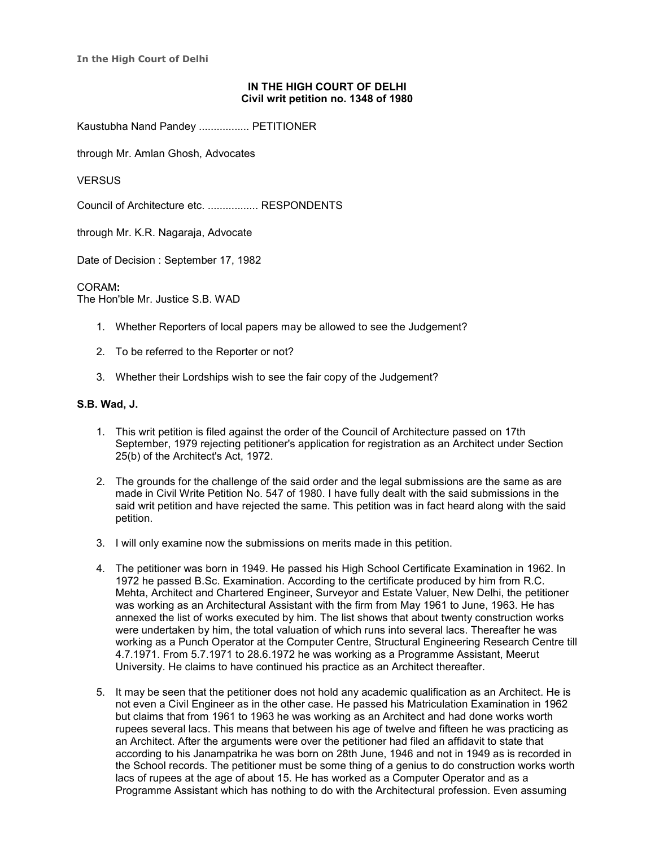**In the High Court of Delhi**

## **IN THE HIGH COURT OF DELHI Civil writ petition no. 1348 of 1980**

Kaustubha Nand Pandey ................. PETITIONER

through Mr. Amlan Ghosh, Advocates

**VERSUS** 

Council of Architecture etc. ................. RESPONDENTS

through Mr. K.R. Nagaraja, Advocate

Date of Decision : September 17, 1982

CORAM**:** The Hon'ble Mr. Justice S.B. WAD

- 1. Whether Reporters of local papers may be allowed to see the Judgement?
- 2. To be referred to the Reporter or not?
- 3. Whether their Lordships wish to see the fair copy of the Judgement?

## **S.B. Wad, J.**

- 1. This writ petition is filed against the order of the Council of Architecture passed on 17th September, 1979 rejecting petitioner's application for registration as an Architect under Section 25(b) of the Architect's Act, 1972.
- 2. The grounds for the challenge of the said order and the legal submissions are the same as are made in Civil Write Petition No. 547 of 1980. I have fully dealt with the said submissions in the said writ petition and have rejected the same. This petition was in fact heard along with the said petition.
- 3. I will only examine now the submissions on merits made in this petition.
- 4. The petitioner was born in 1949. He passed his High School Certificate Examination in 1962. In 1972 he passed B.Sc. Examination. According to the certificate produced by him from R.C. Mehta, Architect and Chartered Engineer, Surveyor and Estate Valuer, New Delhi, the petitioner was working as an Architectural Assistant with the firm from May 1961 to June, 1963. He has annexed the list of works executed by him. The list shows that about twenty construction works were undertaken by him, the total valuation of which runs into several lacs. Thereafter he was working as a Punch Operator at the Computer Centre, Structural Engineering Research Centre till 4.7.1971. From 5.7.1971 to 28.6.1972 he was working as a Programme Assistant, Meerut University. He claims to have continued his practice as an Architect thereafter.
- 5. It may be seen that the petitioner does not hold any academic qualification as an Architect. He is not even a Civil Engineer as in the other case. He passed his Matriculation Examination in 1962 but claims that from 1961 to 1963 he was working as an Architect and had done works worth rupees several lacs. This means that between his age of twelve and fifteen he was practicing as an Architect. After the arguments were over the petitioner had filed an affidavit to state that according to his Janampatrika he was born on 28th June, 1946 and not in 1949 as is recorded in the School records. The petitioner must be some thing of a genius to do construction works worth lacs of rupees at the age of about 15. He has worked as a Computer Operator and as a Programme Assistant which has nothing to do with the Architectural profession. Even assuming